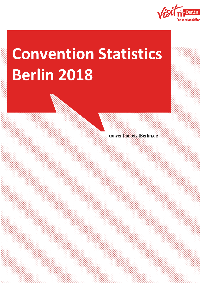

# **Convention Statistics Berlin 2018**

convention.visitBerlin.de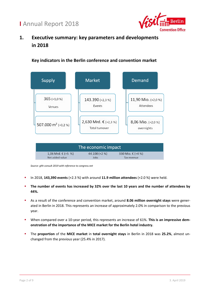

## **1. Executive summary: key parameters and developments in 2018**

**Key indicators in the Berlin conference and convention market**



*Source: ghh consult 2019 with reference to congress.net*

- In 2018, **143,390 events** (+2.3 %) with around **11.9 million attendees** (+2.0 %) were held.
- **The number of events has increased by 32% over the last 10 years and the number of attendees by 44%.**
- As a result of the conference and convention market, around **8.06 million overnight stays** were generated in Berlin in 2018. This represents an increase of approximately 2.0% in comparison to the previous year.
- When compared over a 10-year period, this represents an increase of 61%. **This is an impressive demonstration of the importance of the MICE market for the Berlin hotel industry.**
- The **proportion** of the **MICE market** in **total overnight stays** in Berlin in 2018 was **25.2%**, almost unchanged from the previous year (25.4% in 2017).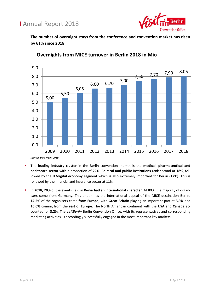

**The number of overnight stays from the conference and convention market has risen by 61% since 2018**



- The **leading industry cluster** in the Berlin convention market is the **medical, pharmaceutical and healthcare sector** with a proportion of **22%**. **Political and public institutions** rank second at **18%**, followed by the **IT/digital economy** segment which is also extremely important for Berlin **(12%)**. This is followed by the financial and insurance sector at 11%.
- In **2018, 20%** of the events held in Berlin **had an international character**. At 80%, the majority of organisers come from Germany. This underlines the international appeal of the MICE destination Berlin. **14.5%** of the organisers come **from Europe**, with **Great Britain** playing an important part at **3.9%** and **10.6%** coming from the **rest of Europe**. The North American continent with the **USA and Canada** accounted for **3.2%**. The *visitBerlin* Berlin Convention Office, with its representatives and corresponding marketing activities, is accordingly successfully engaged in the most important key markets.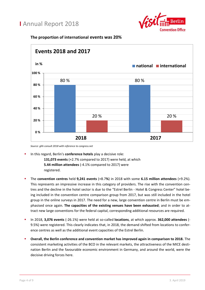

#### **The proportion of international events was 20%**



*Source: ghh consult 2018 with reference to congress.net*

- In this regard, Berlin's **conference hotels** play a decisive role: **131,073 events** (+2.7% compared to 2017) were held, at which **5.44 million attendees** (-4.1% compared to 2017) were registered.
- The **convention centres** held **9,241 events** (+8.7**%**) in 2018 with some **6.15 million attendees** (+9.2%). This represents an impressive increase in this category of providers. The rise with the convention centres and the decline in the hotel sector is due to the "Estrel Berlin - Hotel & Congress Center" hotel being included in the convention centre comparison group from 2017, but was still included in the hotel group in the online surveys in 2017. The need for a new, large convention centre in Berlin must be emphasised once again. **The capacities of the existing venues have been exhausted**; and in order to attract new large conventions for the federal capital, corresponding additional resources are required.
- In 2018, **3,076 events** (-26.1%) were held at so-called **locations**, at which approx. **362,000 attendees** (- 9.5%) were registered. This clearly indicates that, in 2018, the demand shifted from locations to conference centres as well as the additional event capacities of the Estrel Berlin.
- **Overall, the Berlin conference and convention market has improved again in comparison to 2018.** The consistent marketing activities of the BCO in the relevant markets, the attractiveness of the MICE destination Berlin and the favourable economic environment in Germany, and around the world, were the decisive driving forces here.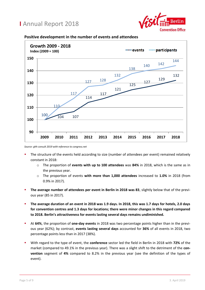



**Positive development in the number of events and attendees**

*Source: ghh consult 2019 with reference to congress.net*

- The structure of the events held according to size (number of attendees per event) remained relatively constant in 2018:
	- o The proportion of **events with up to 100 attendees** was **84%** in 2018, which is the same as in the previous year.
	- o The proportion of events **with more than 1,000 attendees** increased to **1.0%** in 2018 (from 0.9% in 2017).
- **The average number of attendees per event in Berlin in 2018 was 83**, slightly below that of the previous year (85 in 2017).
- **The average duration of an event in 2018 was 1.9 days. In 2018, this was 1.7 days for hotels, 2.0 days for convention centres and 1.3 days for locations; there were minor changes in this regard compared to 2018. Berlin's attractiveness for events lasting several days remains undiminished.**
- At **64%**, the proportion of **one-day events** in 2018 was two percentage points higher than in the previous year (62%); by contrast, **events lasting several days** accounted for **36%** of all events in 2018, two percentage points less than in 2017 (38%).
- With regard to the type of event, the **conference** sector led the field in Berlin in 2018 with **72%** of the market (compared to 49.1% in the previous year). There was a slight shift to the detriment of the **convention** segment of **4%** compared to 8.2% in the previous year (see the definition of the types of event).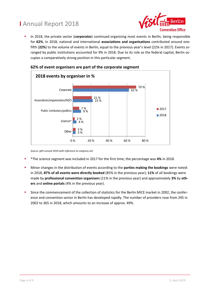

 In 2018, the private sector (**corporates**) continued organising most events in Berlin, being responsible for **62%**. In 2018, national and international **associations and organisations** contributed around onefifth (**22%**) to the volume of events in Berlin, equal to the previous year's level (22% in 2017). Events arranged by public institutions accounted for 9% in 2018. Due to its role as the federal capital, Berlin occupies a comparatively strong position in this particular segment.



## **62% of event organisers are part of the corporate segment**

*Source: ghh consult 2019 with reference to congress.net*

- \*The science segment was included in 2017 for the first time; the percentage was **4%** in 2018.
- Minor changes in the distribution of events according to the **parties making the bookings** were noted: in 2018, **87% of all events were directly booked** (85% in the previous year); **11%** of all bookings were made by **professional convention organisers** (11% in the previous year) and approximately **3%** by **others** and **online portals** (4% in the previous year).
- Since the commencement of the collection of statistics for the Berlin MICE market in 2002, the conference and convention sector in Berlin has developed rapidly. The number of providers rose from 245 in 2002 to 365 in 2018, which amounts to an increase of approx. 49%.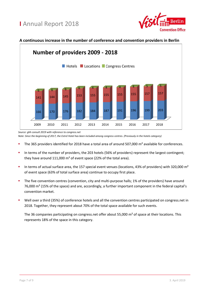

## **A continuous increase in the number of conference and convention providers in Berlin**



*Source: ghh consult 2019 with reference to congress.net*

*Note: Since the beginning of 2017, the Estrel Hotel has been included among congress centres. (Previously in the hotels category)*

- The 365 providers identified for 2018 have a total area of around 507,000 m² available for conferences.
- In terms of the number of providers, the 203 hotels (56% of providers) represent the largest contingent; they have around 111,000 m² of event space (22% of the total area).
- In terms of actual surface area, the 157 special event venues (locations, 43% of providers) with 320,000  $m<sup>2</sup>$ of event space (63% of total surface area) continue to occupy first place.
- The five convention centres (convention, city and multi-purpose halls; 1% of the providers) have around 76,000 m² (15% of the space) and are, accordingly, a further important component in the federal capital's convention market.
- Well over a third (35%) of conference hotels and all the convention centres participated on congress.net in 2018. Together, they represent about 70% of the total space available for such events.

The 36 companies participating on congress.net offer about 55,000 m<sup>2</sup> of space at their locations. This represents 18% of the space in this category.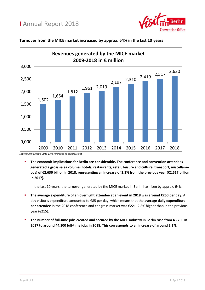



### **Turnover from the MICE market increased by approx. 64% in the last 10 years**

*Source: ghh consult 2019 with reference to congress.net*

 **The economic implications for Berlin are considerable. The conference and convention attendees generated a gross sales volume (hotels, restaurants, retail, leisure and culture, transport, miscellaneous) of €2.630 billion in 2018, representing an increase of 2.3% from the previous year (€2.517 billion in 2017).**

In the last 10 years, the turnover generated by the MICE market in Berlin has risen by approx. 64%.

- **The average expenditure of an overnight attendee at an event in 2018 was around €250 per day.** A day visitor's expenditure amounted to €85 per day, which means that the **average daily expenditure per attendee** in the 2018 conference and congress market was **€221**, 2.8% higher than in the previous year (€215).
- **The number of full-time jobs created and secured by the MICE industry in Berlin rose from 43,200 in 2017 to around 44,100 full-time jobs in 2018. This corresponds to an increase of around 2.1%.**